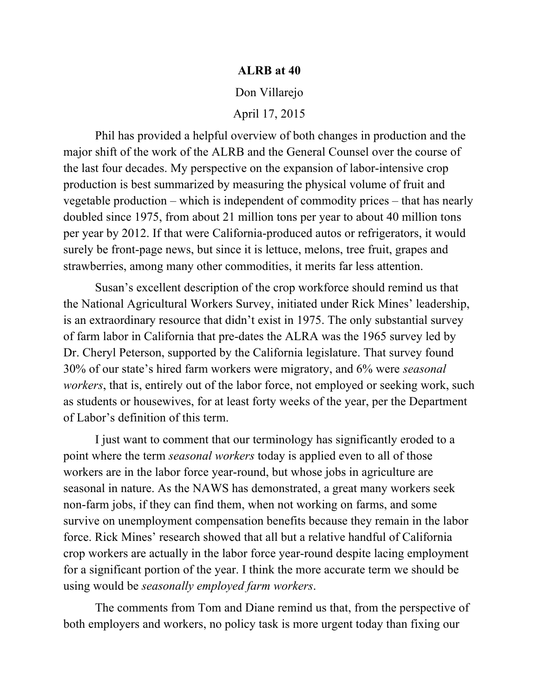### **ALRB at 40**

#### Don Villarejo

April 17, 2015

 Phil has provided a helpful overview of both changes in production and the major shift of the work of the ALRB and the General Counsel over the course of vegetable production – which is independent of commodity prices – that has nearly doubled since 1975, from about 21 million tons per year to about 40 million tons per year by 2012. If that were California-produced autos or refrigerators, it would surely be front-page news, but since it is lettuce, melons, tree fruit, grapes and strawberries, among many other commodities, it merits far less attention. the last four decades. My perspective on the expansion of labor-intensive crop production is best summarized by measuring the physical volume of fruit and

 Susan's excellent description of the crop workforce should remind us that of farm labor in California that pre-dates the ALRA was the 1965 survey led by Dr. Cheryl Peterson, supported by the California legislature. That survey found 30% of our state's hired farm workers were migratory, and 6% were *seasonal workers*, that is, entirely out of the labor force, not employed or seeking work, such as students or housewives, for at least forty weeks of the year, per the Department of Labor's definition of this term. the National Agricultural Workers Survey, initiated under Rick Mines' leadership, is an extraordinary resource that didn't exist in 1975. The only substantial survey

 I just want to comment that our terminology has significantly eroded to a point where the term *seasonal workers* today is applied even to all of those workers are in the labor force year-round, but whose jobs in agriculture are seasonal in nature. As the NAWS has demonstrated, a great many workers seek non-farm jobs, if they can find them, when not working on farms, and some survive on unemployment compensation benefits because they remain in the labor force. Rick Mines' research showed that all but a relative handful of California crop workers are actually in the labor force year-round despite lacing employment for a significant portion of the year. I think the more accurate term we should be using would be *seasonally employed farm workers*.

 The comments from Tom and Diane remind us that, from the perspective of both employers and workers, no policy task is more urgent today than fixing our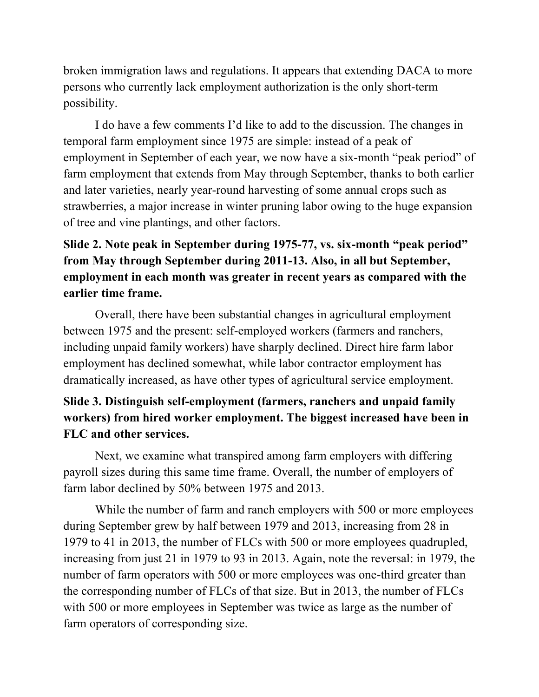broken immigration laws and regulations. It appears that extending DACA to more persons who currently lack employment authorization is the only short-term possibility.

 I do have a few comments I'd like to add to the discussion. The changes in temporal farm employment since 1975 are simple: instead of a peak of employment in September of each year, we now have a six-month "peak period" of farm employment that extends from May through September, thanks to both earlier and later varieties, nearly year-round harvesting of some annual crops such as of tree and vine plantings, and other factors. strawberries, a major increase in winter pruning labor owing to the huge expansion

## **Slide 2. Note peak in September during 1975-77, vs. six-month "peak period" from May through September during 2011-13. Also, in all but September, employment in each month was greater in recent years as compared with the earlier time frame.**

 Overall, there have been substantial changes in agricultural employment between 1975 and the present: self-employed workers (farmers and ranchers, including unpaid family workers) have sharply declined. Direct hire farm labor employment has declined somewhat, while labor contractor employment has dramatically increased, as have other types of agricultural service employment.

# **Slide 3. Distinguish self-employment (farmers, ranchers and unpaid family workers) from hired worker employment. The biggest increased have been in FLC and other services.**

 Next, we examine what transpired among farm employers with differing payroll sizes during this same time frame. Overall, the number of employers of farm labor declined by 50% between 1975 and 2013.

 While the number of farm and ranch employers with 500 or more employees during September grew by half between 1979 and 2013, increasing from 28 in 1979 to 41 in 2013, the number of FLCs with 500 or more employees quadrupled, increasing from just 21 in 1979 to 93 in 2013. Again, note the reversal: in 1979, the number of farm operators with 500 or more employees was one-third greater than with 500 or more employees in September was twice as large as the number of the corresponding number of FLCs of that size. But in 2013, the number of FLCs farm operators of corresponding size.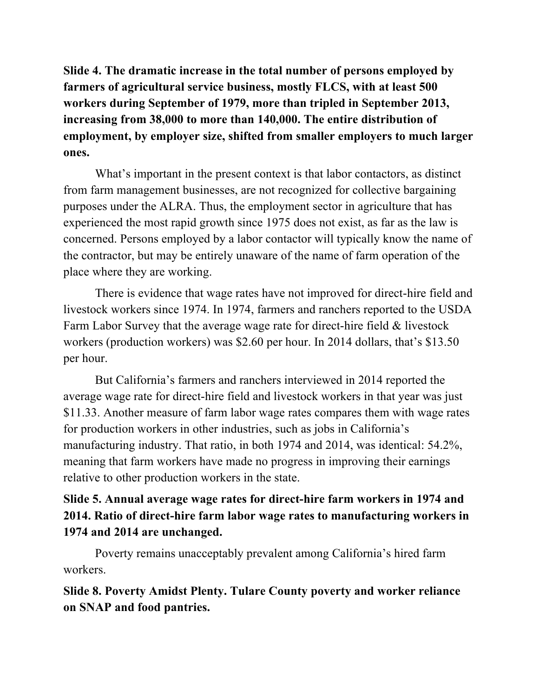**farmers of agricultural service business, mostly FLCS, with at least 500 workers during September of 1979, more than tripled in September 2013, employment, by employer size, shifted from smaller employers to much larger Slide 4. The dramatic increase in the total number of persons employed by increasing from 38,000 to more than 140,000. The entire distribution of ones.** 

 from farm management businesses, are not recognized for collective bargaining purposes under the ALRA. Thus, the employment sector in agriculture that has experienced the most rapid growth since 1975 does not exist, as far as the law is concerned. Persons employed by a labor contactor will typically know the name of the contractor, but may be entirely unaware of the name of farm operation of the place where they are working. What's important in the present context is that labor contactors, as distinct

 There is evidence that wage rates have not improved for direct-hire field and Farm Labor Survey that the average wage rate for direct-hire field & livestock workers (production workers) was \$2.60 per hour. In 2014 dollars, that's \$13.50 livestock workers since 1974. In 1974, farmers and ranchers reported to the USDA per hour.

 But California's farmers and ranchers interviewed in 2014 reported the average wage rate for direct-hire field and livestock workers in that year was just \$11.33. Another measure of farm labor wage rates compares them with wage rates for production workers in other industries, such as jobs in California's meaning that farm workers have made no progress in improving their earnings relative to other production workers in the state. manufacturing industry. That ratio, in both 1974 and 2014, was identical: 54.2%,

### **Slide 5. Annual average wage rates for direct-hire farm workers in 1974 and 2014. Ratio of direct-hire farm labor wage rates to manufacturing workers in 1974 and 2014 are unchanged.**

 Poverty remains unacceptably prevalent among California's hired farm workers.

**Slide 8. Poverty Amidst Plenty. Tulare County poverty and worker reliance on SNAP and food pantries.**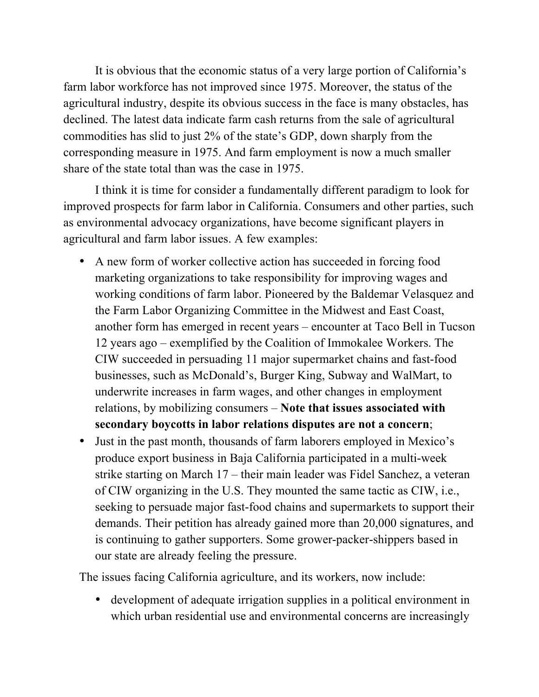It is obvious that the economic status of a very large portion of California's farm labor workforce has not improved since 1975. Moreover, the status of the agricultural industry, despite its obvious success in the face is many obstacles, has commodities has slid to just 2% of the state's GDP, down sharply from the corresponding measure in 1975. And farm employment is now a much smaller share of the state total than was the case in 1975. declined. The latest data indicate farm cash returns from the sale of agricultural

 I think it is time for consider a fundamentally different paradigm to look for improved prospects for farm labor in California. Consumers and other parties, such as environmental advocacy organizations, have become significant players in agricultural and farm labor issues. A few examples:

- • A new form of worker collective action has succeeded in forcing food marketing organizations to take responsibility for improving wages and working conditions of farm labor. Pioneered by the Baldemar Velasquez and the Farm Labor Organizing Committee in the Midwest and East Coast, another form has emerged in recent years – encounter at Taco Bell in Tucson 12 years ago – exemplified by the Coalition of Immokalee Workers. The CIW succeeded in persuading 11 major supermarket chains and fast-food businesses, such as McDonald's, Burger King, Subway and WalMart, to underwrite increases in farm wages, and other changes in employment relations, by mobilizing consumers – **Note that issues associated with secondary boycotts in labor relations disputes are not a concern**;
- • Just in the past month, thousands of farm laborers employed in Mexico's produce export business in Baja California participated in a multi-week strike starting on March 17 – their main leader was Fidel Sanchez, a veteran of CIW organizing in the U.S. They mounted the same tactic as CIW, i.e., seeking to persuade major fast-food chains and supermarkets to support their demands. Their petition has already gained more than 20,000 signatures, and is continuing to gather supporters. Some grower-packer-shippers based in our state are already feeling the pressure.

The issues facing California agriculture, and its workers, now include:

 • development of adequate irrigation supplies in a political environment in which urban residential use and environmental concerns are increasingly